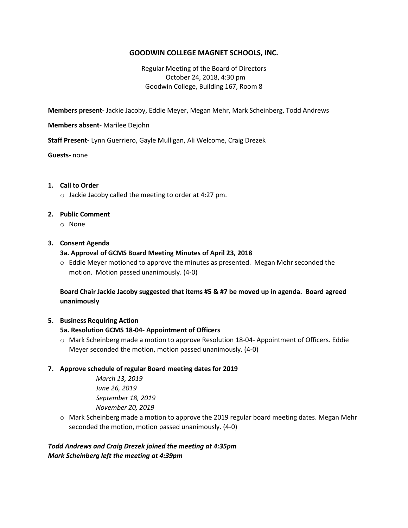# **GOODWIN COLLEGE MAGNET SCHOOLS, INC.**

## Regular Meeting of the Board of Directors October 24, 2018, 4:30 pm Goodwin College, Building 167, Room 8

**Members present-** Jackie Jacoby, Eddie Meyer, Megan Mehr, Mark Scheinberg, Todd Andrews

**Members absent**- Marilee Dejohn

**Staff Present-** Lynn Guerriero, Gayle Mulligan, Ali Welcome, Craig Drezek

**Guests-** none

#### **1. Call to Order**

o Jackie Jacoby called the meeting to order at 4:27 pm.

### **2. Public Comment**

o None

#### **3. Consent Agenda**

#### **3a. Approval of GCMS Board Meeting Minutes of April 23, 2018**

 $\circ$  Eddie Meyer motioned to approve the minutes as presented. Megan Mehr seconded the motion. Motion passed unanimously. (4-0)

**Board Chair Jackie Jacoby suggested that items #5 & #7 be moved up in agenda. Board agreed unanimously**

### **5. Business Requiring Action**

### **5a. Resolution GCMS 18-04- Appointment of Officers**

o Mark Scheinberg made a motion to approve Resolution 18-04- Appointment of Officers. Eddie Meyer seconded the motion, motion passed unanimously. (4-0)

### **7. Approve schedule of regular Board meeting dates for 2019**

*March 13, 2019 June 26, 2019 September 18, 2019 November 20, 2019*

o Mark Scheinberg made a motion to approve the 2019 regular board meeting dates. Megan Mehr seconded the motion, motion passed unanimously. (4-0)

## *Todd Andrews and Craig Drezek joined the meeting at 4:35pm Mark Scheinberg left the meeting at 4:39pm*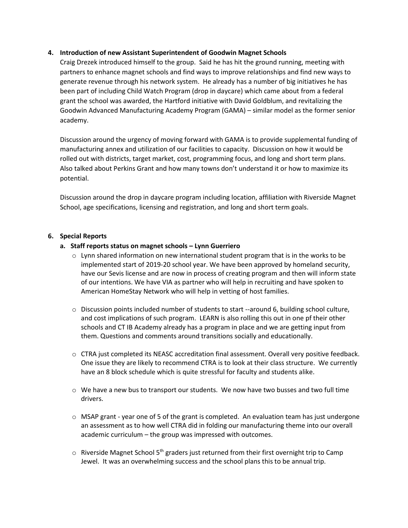### **4. Introduction of new Assistant Superintendent of Goodwin Magnet Schools**

Craig Drezek introduced himself to the group. Said he has hit the ground running, meeting with partners to enhance magnet schools and find ways to improve relationships and find new ways to generate revenue through his network system. He already has a number of big initiatives he has been part of including Child Watch Program (drop in daycare) which came about from a federal grant the school was awarded, the Hartford initiative with David Goldblum, and revitalizing the Goodwin Advanced Manufacturing Academy Program (GAMA) – similar model as the former senior academy.

Discussion around the urgency of moving forward with GAMA is to provide supplemental funding of manufacturing annex and utilization of our facilities to capacity. Discussion on how it would be rolled out with districts, target market, cost, programming focus, and long and short term plans. Also talked about Perkins Grant and how many towns don't understand it or how to maximize its potential.

Discussion around the drop in daycare program including location, affiliation with Riverside Magnet School, age specifications, licensing and registration, and long and short term goals.

## **6. Special Reports**

## **a. Staff reports status on magnet schools – Lynn Guerriero**

- $\circ$  Lynn shared information on new international student program that is in the works to be implemented start of 2019-20 school year. We have been approved by homeland security, have our Sevis license and are now in process of creating program and then will inform state of our intentions. We have VIA as partner who will help in recruiting and have spoken to American HomeStay Network who will help in vetting of host families.
- $\circ$  Discussion points included number of students to start --around 6, building school culture, and cost implications of such program. LEARN is also rolling this out in one pf their other schools and CT IB Academy already has a program in place and we are getting input from them. Questions and comments around transitions socially and educationally.
- o CTRA just completed its NEASC accreditation final assessment. Overall very positive feedback. One issue they are likely to recommend CTRA is to look at their class structure. We currently have an 8 block schedule which is quite stressful for faculty and students alike.
- $\circ$  We have a new bus to transport our students. We now have two busses and two full time drivers.
- $\circ$  MSAP grant year one of 5 of the grant is completed. An evaluation team has just undergone an assessment as to how well CTRA did in folding our manufacturing theme into our overall academic curriculum – the group was impressed with outcomes.
- $\circ$  Riverside Magnet School 5<sup>th</sup> graders just returned from their first overnight trip to Camp Jewel. It was an overwhelming success and the school plans this to be annual trip.